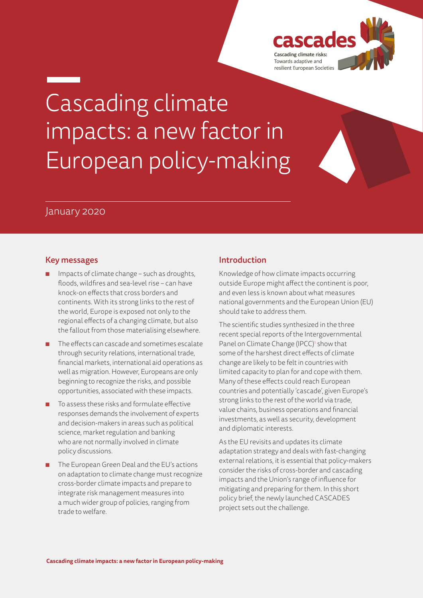

# Cascading climate impacts: a new factor in European policy-making

# January 2020

### Key messages

- Impacts of climate change such as droughts, floods, wildfires and sea-level rise – can have knock-on effects that cross borders and continents. With its strong links to the rest of the world, Europe is exposed not only to the regional effects of a changing climate, but also the fallout from those materialising elsewhere.
- The effects can cascade and sometimes escalate through security relations, international trade, financial markets, international aid operations as well as migration. However, Europeans are only beginning to recognize the risks, and possible opportunities, associated with these impacts.
- To assess these risks and formulate effective responses demands the involvement of experts and decision-makers in areas such as political science, market regulation and banking who are not normally involved in climate policy discussions.
- The European Green Deal and the EU's actions on adaptation to climate change must recognize cross-border climate impacts and prepare to integrate risk management measures into a much wider group of policies, ranging from trade to welfare.

# Introduction

Knowledge of how climate impacts occurring outside Europe might affect the continent is poor, and even less is known about what measures national governments and the European Union (EU) should take to address them.

The scientific studies synthesized in the three recent special reports of the Intergovernmental Panel on Climate Change (IPCC)<sup>1</sup> show that some of the harshest direct effects of climate change are likely to be felt in countries with limited capacity to plan for and cope with them. Many of these effects could reach European countries and potentially 'cascade', given Europe's strong links to the rest of the world via trade, value chains, business operations and financial investments, as well as security, development and diplomatic interests.

As the EU revisits and updates its climate adaptation strategy and deals with fast-changing external relations, it is essential that policy-makers consider the risks of cross-border and cascading impacts and the Union's range of influence for mitigating and preparing for them. In this short policy brief, the newly launched CASCADES project sets out the challenge.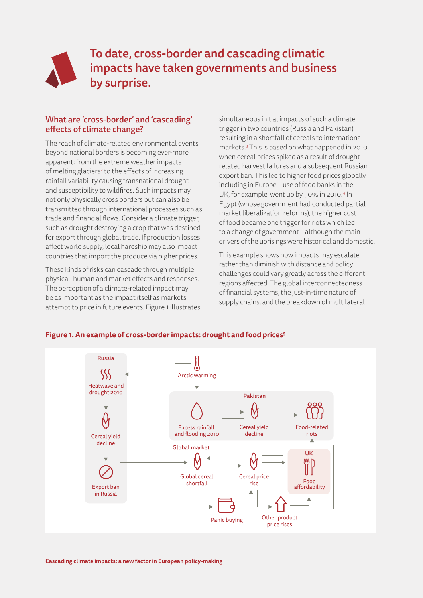

To date, cross-border and cascading climatic impacts have taken governments and business by surprise.

# What are 'cross-border' and 'cascading' effects of climate change?

The reach of climate-related environmental events beyond national borders is becoming ever-more apparent: from the extreme weather impacts of melting glaciers<sup>2</sup> to the effects of increasing rainfall variability causing transnational drought and susceptibility to wildfires. Such impacts may not only physically cross borders but can also be transmitted through international processes such as trade and financial flows. Consider a climate trigger, such as drought destroying a crop that was destined for export through global trade. If production losses affect world supply, local hardship may also impact countries that import the produce via higher prices.

These kinds of risks can cascade through multiple physical, human and market effects and responses. The perception of a climate-related impact may be as important as the impact itself as markets attempt to price in future events. Figure 1 illustrates simultaneous initial impacts of such a climate trigger in two countries (Russia and Pakistan), resulting in a shortfall of cereals to international markets.3 This is based on what happened in 2010 when cereal prices spiked as a result of droughtrelated harvest failures and a subsequent Russian export ban. This led to higher food prices globally including in Europe – use of food banks in the UK, for example, went up by 50% in 2010.<sup>4</sup> In Egypt (whose government had conducted partial market liberalization reforms), the higher cost of food became one trigger for riots which led to a change of government – although the main drivers of the uprisings were historical and domestic.

This example shows how impacts may escalate rather than diminish with distance and policy challenges could vary greatly across the different regions affected. The global interconnectedness of financial systems, the just-in-time nature of supply chains, and the breakdown of multilateral



#### **Figure 1. An example of cross-border impacts: drought and food prices5**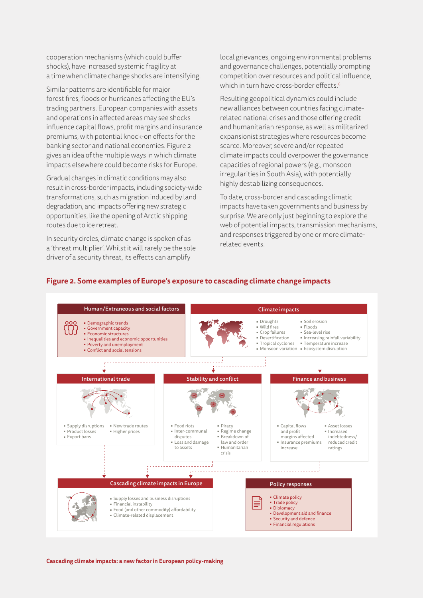cooperation mechanisms (which could buffer shocks), have increased systemic fragility at a time when climate change shocks are intensifying.

Similar patterns are identifiable for major forest fires, floods or hurricanes affecting the EU's trading partners. European companies with assets and operations in affected areas may see shocks influence capital flows, profit margins and insurance premiums, with potential knock-on effects for the banking sector and national economies. Figure 2 gives an idea of the multiple ways in which climate impacts elsewhere could become risks for Europe.

Gradual changes in climatic conditions may also result in cross-border impacts, including society-wide transformations, such as migration induced by land degradation, and impacts offering new strategic opportunities, like the opening of Arctic shipping routes due to ice retreat.

In security circles, climate change is spoken of as a 'threat multiplier'. Whilst it will rarely be the sole driver of a security threat, its effects can amplify

local grievances, ongoing environmental problems and governance challenges, potentially prompting competition over resources and political influence, which in turn have cross-border effects.<sup>6</sup>

Resulting geopolitical dynamics could include new alliances between countries facing climaterelated national crises and those offering credit and humanitarian response, as well as militarized expansionist strategies where resources become scarce. Moreover, severe and/or repeated climate impacts could overpower the governance capacities of regional powers (e.g., monsoon irregularities in South Asia), with potentially highly destabilizing consequences.

To date, cross-border and cascading climatic impacts have taken governments and business by surprise. We are only just beginning to explore the web of potential impacts, transmission mechanisms, and responses triggered by one or more climaterelated events.



#### **Figure 2. Some examples of Europe's exposure to cascading climate change impacts**